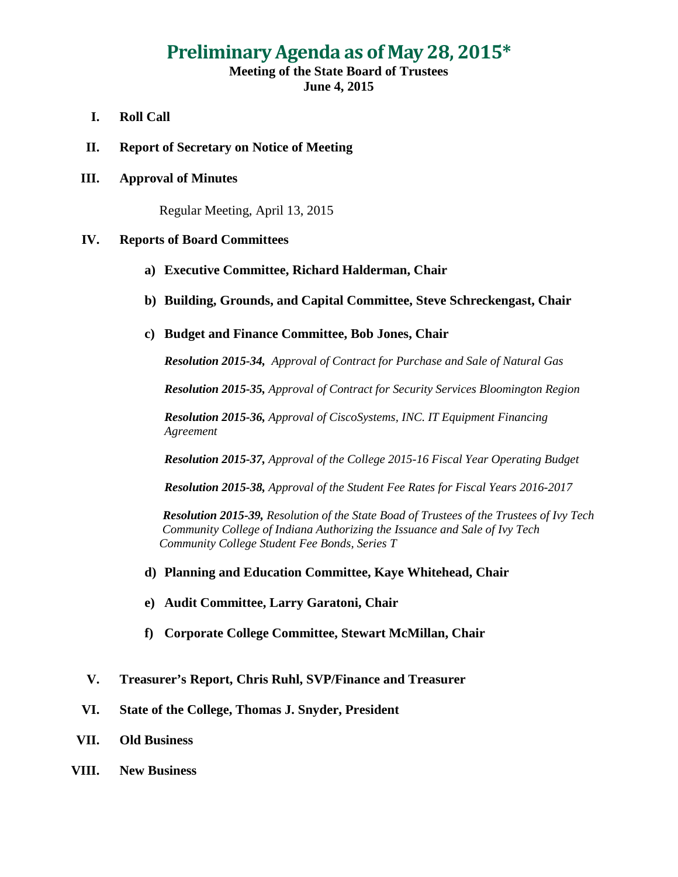## **Preliminary Agenda as of May 28, 2015\***

## **Meeting of the State Board of Trustees June 4, 2015**

- **I. Roll Call**
- **II. Report of Secretary on Notice of Meeting**
- **III. Approval of Minutes**

Regular Meeting, April 13, 2015

## **IV. Reports of Board Committees**

- **a) Executive Committee, Richard Halderman, Chair**
- **b) Building, Grounds, and Capital Committee, Steve Schreckengast, Chair**
- **c) Budget and Finance Committee, Bob Jones, Chair**

*Resolution 2015-34, Approval of Contract for Purchase and Sale of Natural Gas*

*Resolution 2015-35, Approval of Contract for Security Services Bloomington Region*

*Resolution 2015-36, Approval of CiscoSystems, INC. IT Equipment Financing Agreement*

*Resolution 2015-37, Approval of the College 2015-16 Fiscal Year Operating Budget*

*Resolution 2015-38, Approval of the Student Fee Rates for Fiscal Years 2016-2017*

*Resolution 2015-39, Resolution of the State Boad of Trustees of the Trustees of Ivy Tech Community College of Indiana Authorizing the Issuance and Sale of Ivy Tech Community College Student Fee Bonds, Series T*

- **d) Planning and Education Committee, Kaye Whitehead, Chair**
- **e) Audit Committee, Larry Garatoni, Chair**
- **f) Corporate College Committee, Stewart McMillan, Chair**
- **V. Treasurer's Report, Chris Ruhl, SVP/Finance and Treasurer**
- **VI. State of the College, Thomas J. Snyder, President**
- **VII. Old Business**
- **VIII. New Business**